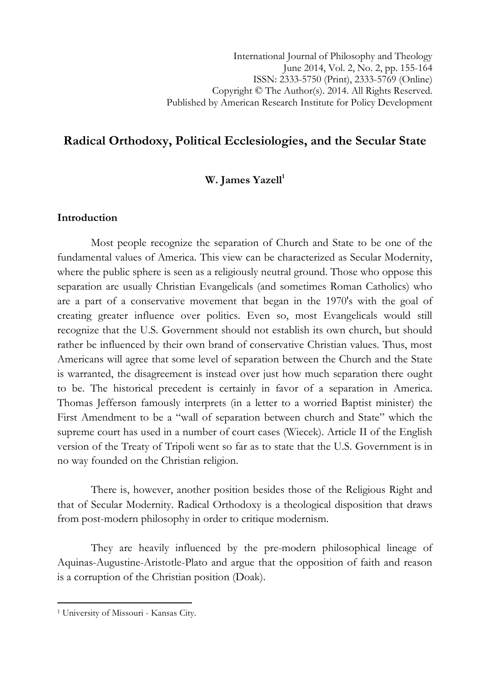# Radical Orthodoxy, Political Ecclesiologies, and the Secular State

# W. James Yazell<sup>1</sup>

### Introduction

Most people recognize the separation of Church and State to be one of the fundamental values of America. This view can be characterized as Secular Modernity, where the public sphere is seen as a religiously neutral ground. Those who oppose this separation are usually Christian Evangelicals (and sometimes Roman Catholics) who are a part of a conservative movement that began in the 1970's with the goal of creating greater influence over politics. Even so, most Evangelicals would still recognize that the U.S. Government should not establish its own church, but should rather be influenced by their own brand of conservative Christian values. Thus, most Americans will agree that some level of separation between the Church and the State is warranted, the disagreement is instead over just how much separation there ought to be. The historical precedent is certainly in favor of a separation in America. Thomas Jefferson famously interprets (in a letter to a worried Baptist minister) the First Amendment to be a "wall of separation between church and State" which the supreme court has used in a number of court cases (Wiecek). Article II of the English version of the Treaty of Tripoli went so far as to state that the U.S. Government is in no way founded on the Christian religion.

 There is, however, another position besides those of the Religious Right and that of Secular Modernity. Radical Orthodoxy is a theological disposition that draws from post-modern philosophy in order to critique modernism.

They are heavily influenced by the pre-modern philosophical lineage of Aquinas-Augustine-Aristotle-Plato and argue that the opposition of faith and reason is a corruption of the Christian position (Doak).

l

<sup>1</sup> University of Missouri - Kansas City.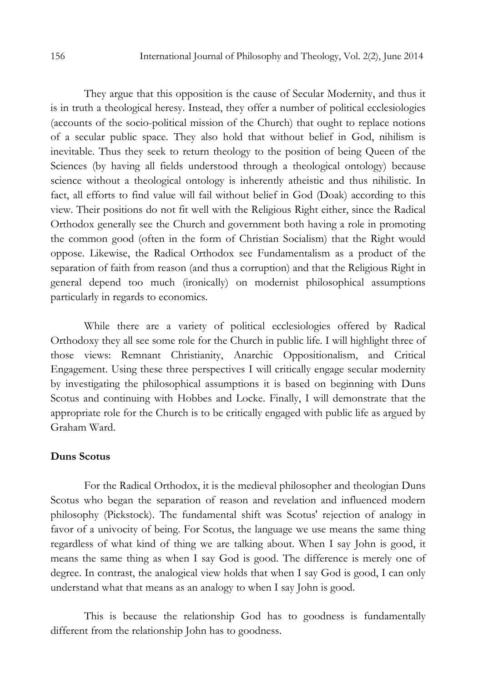They argue that this opposition is the cause of Secular Modernity, and thus it is in truth a theological heresy. Instead, they offer a number of political ecclesiologies (accounts of the socio-political mission of the Church) that ought to replace notions of a secular public space. They also hold that without belief in God, nihilism is inevitable. Thus they seek to return theology to the position of being Queen of the Sciences (by having all fields understood through a theological ontology) because science without a theological ontology is inherently atheistic and thus nihilistic. In fact, all efforts to find value will fail without belief in God (Doak) according to this view. Their positions do not fit well with the Religious Right either, since the Radical Orthodox generally see the Church and government both having a role in promoting the common good (often in the form of Christian Socialism) that the Right would oppose. Likewise, the Radical Orthodox see Fundamentalism as a product of the separation of faith from reason (and thus a corruption) and that the Religious Right in general depend too much (ironically) on modernist philosophical assumptions particularly in regards to economics.

 While there are a variety of political ecclesiologies offered by Radical Orthodoxy they all see some role for the Church in public life. I will highlight three of those views: Remnant Christianity, Anarchic Oppositionalism, and Critical Engagement. Using these three perspectives I will critically engage secular modernity by investigating the philosophical assumptions it is based on beginning with Duns Scotus and continuing with Hobbes and Locke. Finally, I will demonstrate that the appropriate role for the Church is to be critically engaged with public life as argued by Graham Ward.

# Duns Scotus

For the Radical Orthodox, it is the medieval philosopher and theologian Duns Scotus who began the separation of reason and revelation and influenced modern philosophy (Pickstock). The fundamental shift was Scotus' rejection of analogy in favor of a univocity of being. For Scotus, the language we use means the same thing regardless of what kind of thing we are talking about. When I say John is good, it means the same thing as when I say God is good. The difference is merely one of degree. In contrast, the analogical view holds that when I say God is good, I can only understand what that means as an analogy to when I say John is good.

This is because the relationship God has to goodness is fundamentally different from the relationship John has to goodness.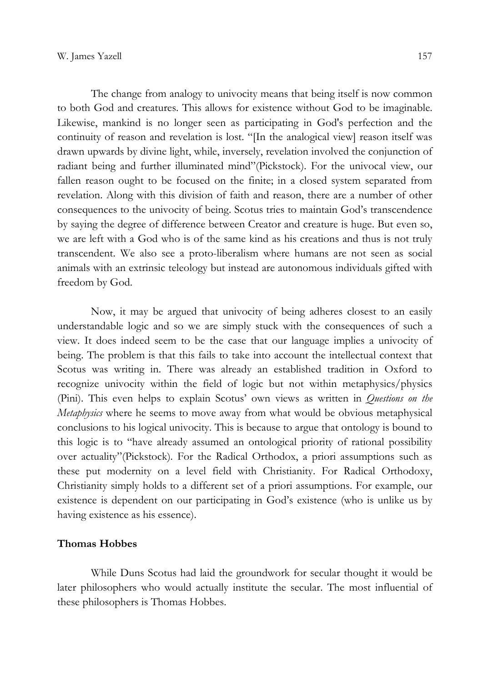The change from analogy to univocity means that being itself is now common to both God and creatures. This allows for existence without God to be imaginable. Likewise, mankind is no longer seen as participating in God's perfection and the continuity of reason and revelation is lost. "[In the analogical view] reason itself was drawn upwards by divine light, while, inversely, revelation involved the conjunction of radiant being and further illuminated mind"(Pickstock). For the univocal view, our fallen reason ought to be focused on the finite; in a closed system separated from revelation. Along with this division of faith and reason, there are a number of other consequences to the univocity of being. Scotus tries to maintain God's transcendence by saying the degree of difference between Creator and creature is huge. But even so, we are left with a God who is of the same kind as his creations and thus is not truly transcendent. We also see a proto-liberalism where humans are not seen as social animals with an extrinsic teleology but instead are autonomous individuals gifted with freedom by God.

 Now, it may be argued that univocity of being adheres closest to an easily understandable logic and so we are simply stuck with the consequences of such a view. It does indeed seem to be the case that our language implies a univocity of being. The problem is that this fails to take into account the intellectual context that Scotus was writing in. There was already an established tradition in Oxford to recognize univocity within the field of logic but not within metaphysics/physics (Pini). This even helps to explain Scotus' own views as written in Questions on the Metaphysics where he seems to move away from what would be obvious metaphysical conclusions to his logical univocity. This is because to argue that ontology is bound to this logic is to "have already assumed an ontological priority of rational possibility over actuality"(Pickstock). For the Radical Orthodox, a priori assumptions such as these put modernity on a level field with Christianity. For Radical Orthodoxy, Christianity simply holds to a different set of a priori assumptions. For example, our existence is dependent on our participating in God's existence (who is unlike us by having existence as his essence).

## Thomas Hobbes

While Duns Scotus had laid the groundwork for secular thought it would be later philosophers who would actually institute the secular. The most influential of these philosophers is Thomas Hobbes.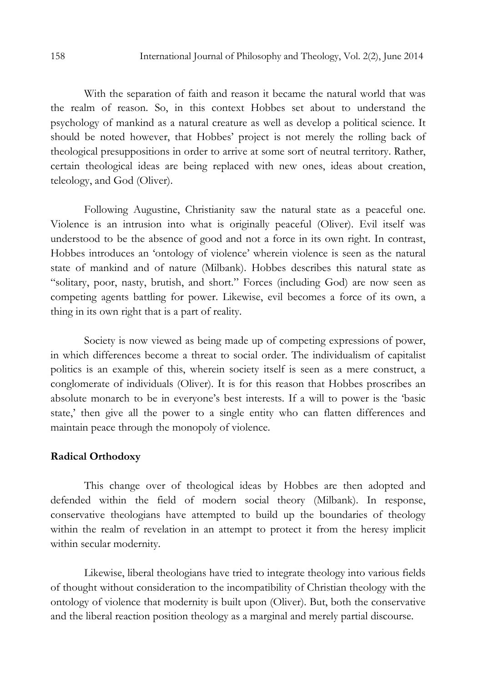With the separation of faith and reason it became the natural world that was the realm of reason. So, in this context Hobbes set about to understand the psychology of mankind as a natural creature as well as develop a political science. It should be noted however, that Hobbes' project is not merely the rolling back of theological presuppositions in order to arrive at some sort of neutral territory. Rather, certain theological ideas are being replaced with new ones, ideas about creation, teleology, and God (Oliver).

Following Augustine, Christianity saw the natural state as a peaceful one. Violence is an intrusion into what is originally peaceful (Oliver). Evil itself was understood to be the absence of good and not a force in its own right. In contrast, Hobbes introduces an 'ontology of violence' wherein violence is seen as the natural state of mankind and of nature (Milbank). Hobbes describes this natural state as "solitary, poor, nasty, brutish, and short." Forces (including God) are now seen as competing agents battling for power. Likewise, evil becomes a force of its own, a thing in its own right that is a part of reality.

Society is now viewed as being made up of competing expressions of power, in which differences become a threat to social order. The individualism of capitalist politics is an example of this, wherein society itself is seen as a mere construct, a conglomerate of individuals (Oliver). It is for this reason that Hobbes proscribes an absolute monarch to be in everyone's best interests. If a will to power is the 'basic state,' then give all the power to a single entity who can flatten differences and maintain peace through the monopoly of violence.

#### Radical Orthodoxy

This change over of theological ideas by Hobbes are then adopted and defended within the field of modern social theory (Milbank). In response, conservative theologians have attempted to build up the boundaries of theology within the realm of revelation in an attempt to protect it from the heresy implicit within secular modernity.

Likewise, liberal theologians have tried to integrate theology into various fields of thought without consideration to the incompatibility of Christian theology with the ontology of violence that modernity is built upon (Oliver). But, both the conservative and the liberal reaction position theology as a marginal and merely partial discourse.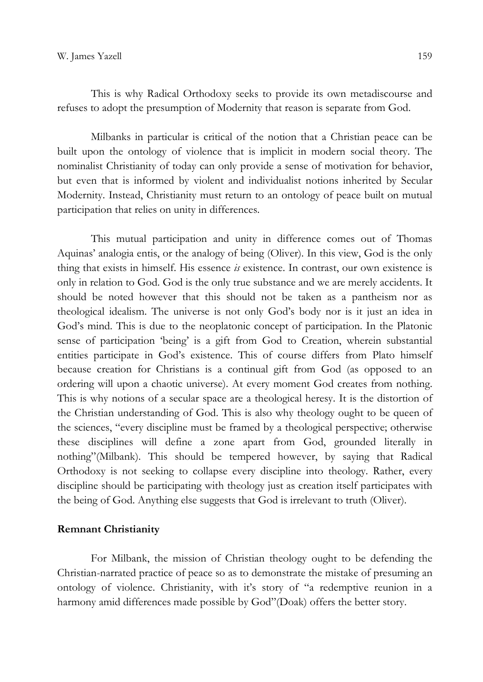This is why Radical Orthodoxy seeks to provide its own metadiscourse and refuses to adopt the presumption of Modernity that reason is separate from God.

Milbanks in particular is critical of the notion that a Christian peace can be built upon the ontology of violence that is implicit in modern social theory. The nominalist Christianity of today can only provide a sense of motivation for behavior, but even that is informed by violent and individualist notions inherited by Secular Modernity. Instead, Christianity must return to an ontology of peace built on mutual participation that relies on unity in differences.

This mutual participation and unity in difference comes out of Thomas Aquinas' analogia entis, or the analogy of being (Oliver). In this view, God is the only thing that exists in himself. His essence  $i\bar{s}$  existence. In contrast, our own existence is only in relation to God. God is the only true substance and we are merely accidents. It should be noted however that this should not be taken as a pantheism nor as theological idealism. The universe is not only God's body nor is it just an idea in God's mind. This is due to the neoplatonic concept of participation. In the Platonic sense of participation 'being' is a gift from God to Creation, wherein substantial entities participate in God's existence. This of course differs from Plato himself because creation for Christians is a continual gift from God (as opposed to an ordering will upon a chaotic universe). At every moment God creates from nothing. This is why notions of a secular space are a theological heresy. It is the distortion of the Christian understanding of God. This is also why theology ought to be queen of the sciences, "every discipline must be framed by a theological perspective; otherwise these disciplines will define a zone apart from God, grounded literally in nothing"(Milbank). This should be tempered however, by saying that Radical Orthodoxy is not seeking to collapse every discipline into theology. Rather, every discipline should be participating with theology just as creation itself participates with the being of God. Anything else suggests that God is irrelevant to truth (Oliver).

#### Remnant Christianity

 For Milbank, the mission of Christian theology ought to be defending the Christian-narrated practice of peace so as to demonstrate the mistake of presuming an ontology of violence. Christianity, with it's story of "a redemptive reunion in a harmony amid differences made possible by God"(Doak) offers the better story.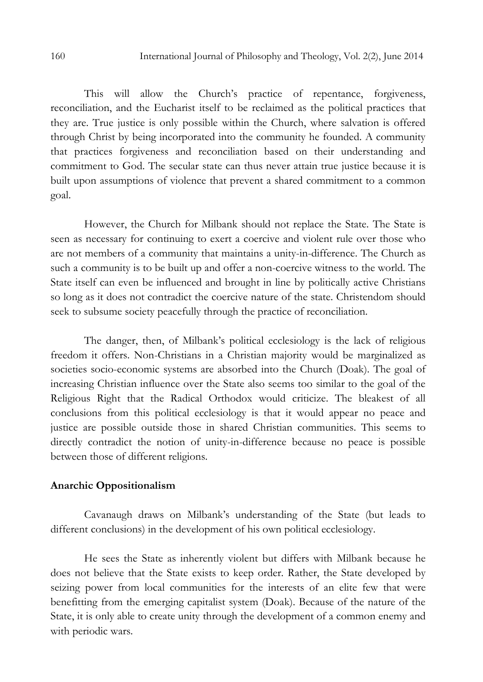This will allow the Church's practice of repentance, forgiveness, reconciliation, and the Eucharist itself to be reclaimed as the political practices that they are. True justice is only possible within the Church, where salvation is offered through Christ by being incorporated into the community he founded. A community that practices forgiveness and reconciliation based on their understanding and commitment to God. The secular state can thus never attain true justice because it is built upon assumptions of violence that prevent a shared commitment to a common goal.

However, the Church for Milbank should not replace the State. The State is seen as necessary for continuing to exert a coercive and violent rule over those who are not members of a community that maintains a unity-in-difference. The Church as such a community is to be built up and offer a non-coercive witness to the world. The State itself can even be influenced and brought in line by politically active Christians so long as it does not contradict the coercive nature of the state. Christendom should seek to subsume society peacefully through the practice of reconciliation.

 The danger, then, of Milbank's political ecclesiology is the lack of religious freedom it offers. Non-Christians in a Christian majority would be marginalized as societies socio-economic systems are absorbed into the Church (Doak). The goal of increasing Christian influence over the State also seems too similar to the goal of the Religious Right that the Radical Orthodox would criticize. The bleakest of all conclusions from this political ecclesiology is that it would appear no peace and justice are possible outside those in shared Christian communities. This seems to directly contradict the notion of unity-in-difference because no peace is possible between those of different religions.

### Anarchic Oppositionalism

Cavanaugh draws on Milbank's understanding of the State (but leads to different conclusions) in the development of his own political ecclesiology.

He sees the State as inherently violent but differs with Milbank because he does not believe that the State exists to keep order. Rather, the State developed by seizing power from local communities for the interests of an elite few that were benefitting from the emerging capitalist system (Doak). Because of the nature of the State, it is only able to create unity through the development of a common enemy and with periodic wars.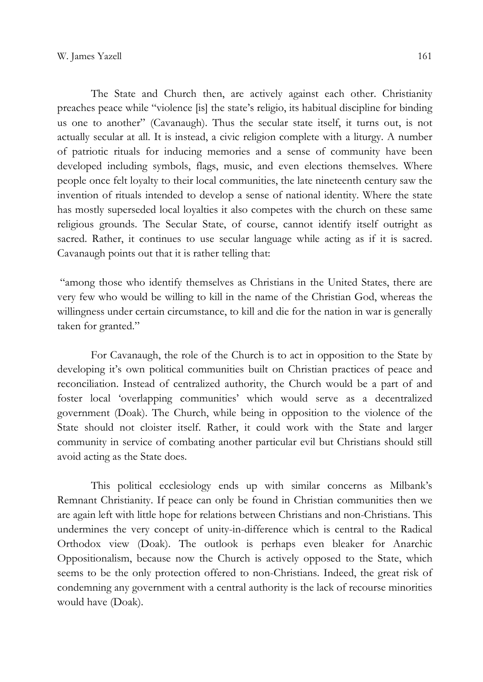The State and Church then, are actively against each other. Christianity preaches peace while "violence [is] the state's religio, its habitual discipline for binding us one to another" (Cavanaugh). Thus the secular state itself, it turns out, is not actually secular at all. It is instead, a civic religion complete with a liturgy. A number of patriotic rituals for inducing memories and a sense of community have been developed including symbols, flags, music, and even elections themselves. Where people once felt loyalty to their local communities, the late nineteenth century saw the invention of rituals intended to develop a sense of national identity. Where the state has mostly superseded local loyalties it also competes with the church on these same religious grounds. The Secular State, of course, cannot identify itself outright as sacred. Rather, it continues to use secular language while acting as if it is sacred. Cavanaugh points out that it is rather telling that:

 "among those who identify themselves as Christians in the United States, there are very few who would be willing to kill in the name of the Christian God, whereas the willingness under certain circumstance, to kill and die for the nation in war is generally taken for granted."

 For Cavanaugh, the role of the Church is to act in opposition to the State by developing it's own political communities built on Christian practices of peace and reconciliation. Instead of centralized authority, the Church would be a part of and foster local 'overlapping communities' which would serve as a decentralized government (Doak). The Church, while being in opposition to the violence of the State should not cloister itself. Rather, it could work with the State and larger community in service of combating another particular evil but Christians should still avoid acting as the State does.

 This political ecclesiology ends up with similar concerns as Milbank's Remnant Christianity. If peace can only be found in Christian communities then we are again left with little hope for relations between Christians and non-Christians. This undermines the very concept of unity-in-difference which is central to the Radical Orthodox view (Doak). The outlook is perhaps even bleaker for Anarchic Oppositionalism, because now the Church is actively opposed to the State, which seems to be the only protection offered to non-Christians. Indeed, the great risk of condemning any government with a central authority is the lack of recourse minorities would have (Doak).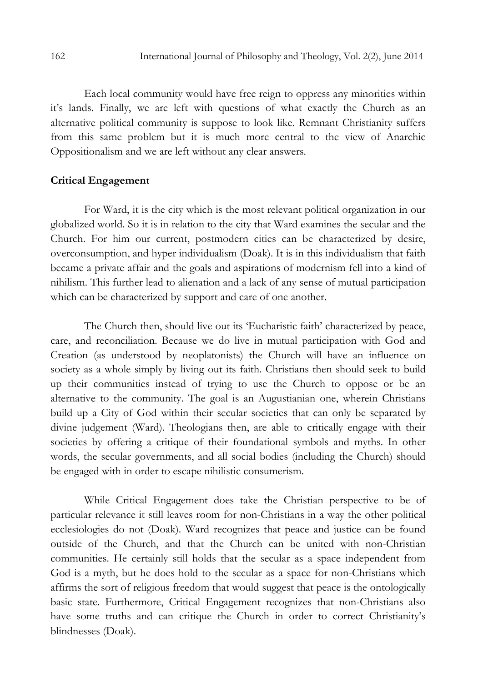Each local community would have free reign to oppress any minorities within it's lands. Finally, we are left with questions of what exactly the Church as an alternative political community is suppose to look like. Remnant Christianity suffers from this same problem but it is much more central to the view of Anarchic Oppositionalism and we are left without any clear answers.

# Critical Engagement

For Ward, it is the city which is the most relevant political organization in our globalized world. So it is in relation to the city that Ward examines the secular and the Church. For him our current, postmodern cities can be characterized by desire, overconsumption, and hyper individualism (Doak). It is in this individualism that faith became a private affair and the goals and aspirations of modernism fell into a kind of nihilism. This further lead to alienation and a lack of any sense of mutual participation which can be characterized by support and care of one another.

The Church then, should live out its 'Eucharistic faith' characterized by peace, care, and reconciliation. Because we do live in mutual participation with God and Creation (as understood by neoplatonists) the Church will have an influence on society as a whole simply by living out its faith. Christians then should seek to build up their communities instead of trying to use the Church to oppose or be an alternative to the community. The goal is an Augustianian one, wherein Christians build up a City of God within their secular societies that can only be separated by divine judgement (Ward). Theologians then, are able to critically engage with their societies by offering a critique of their foundational symbols and myths. In other words, the secular governments, and all social bodies (including the Church) should be engaged with in order to escape nihilistic consumerism.

While Critical Engagement does take the Christian perspective to be of particular relevance it still leaves room for non-Christians in a way the other political ecclesiologies do not (Doak). Ward recognizes that peace and justice can be found outside of the Church, and that the Church can be united with non-Christian communities. He certainly still holds that the secular as a space independent from God is a myth, but he does hold to the secular as a space for non-Christians which affirms the sort of religious freedom that would suggest that peace is the ontologically basic state. Furthermore, Critical Engagement recognizes that non-Christians also have some truths and can critique the Church in order to correct Christianity's blindnesses (Doak).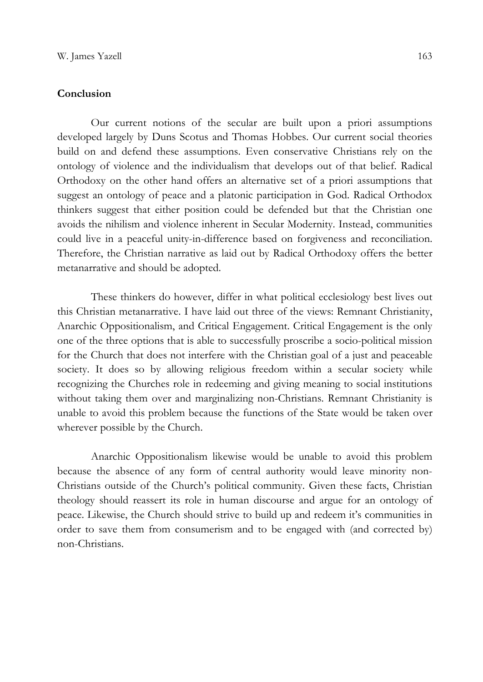### **Conclusion**

Our current notions of the secular are built upon a priori assumptions developed largely by Duns Scotus and Thomas Hobbes. Our current social theories build on and defend these assumptions. Even conservative Christians rely on the ontology of violence and the individualism that develops out of that belief. Radical Orthodoxy on the other hand offers an alternative set of a priori assumptions that suggest an ontology of peace and a platonic participation in God. Radical Orthodox thinkers suggest that either position could be defended but that the Christian one avoids the nihilism and violence inherent in Secular Modernity. Instead, communities could live in a peaceful unity-in-difference based on forgiveness and reconciliation. Therefore, the Christian narrative as laid out by Radical Orthodoxy offers the better metanarrative and should be adopted.

 These thinkers do however, differ in what political ecclesiology best lives out this Christian metanarrative. I have laid out three of the views: Remnant Christianity, Anarchic Oppositionalism, and Critical Engagement. Critical Engagement is the only one of the three options that is able to successfully proscribe a socio-political mission for the Church that does not interfere with the Christian goal of a just and peaceable society. It does so by allowing religious freedom within a secular society while recognizing the Churches role in redeeming and giving meaning to social institutions without taking them over and marginalizing non-Christians. Remnant Christianity is unable to avoid this problem because the functions of the State would be taken over wherever possible by the Church.

Anarchic Oppositionalism likewise would be unable to avoid this problem because the absence of any form of central authority would leave minority non-Christians outside of the Church's political community. Given these facts, Christian theology should reassert its role in human discourse and argue for an ontology of peace. Likewise, the Church should strive to build up and redeem it's communities in order to save them from consumerism and to be engaged with (and corrected by) non-Christians.